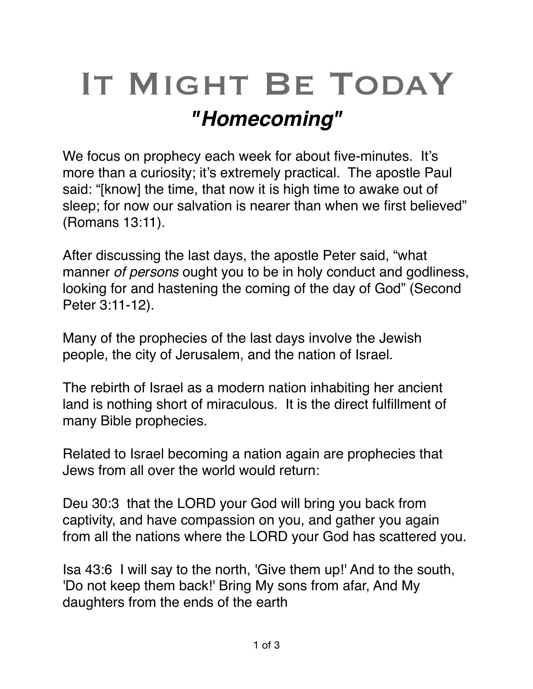## IT MIGHT BE TODAY *"Homecoming"*

We focus on prophecy each week for about five-minutes. It's more than a curiosity; it's extremely practical. The apostle Paul said: "[know] the time, that now it is high time to awake out of sleep; for now our salvation is nearer than when we first believed" (Romans 13:11).

After discussing the last days, the apostle Peter said, "what manner *of persons* ought you to be in holy conduct and godliness, looking for and hastening the coming of the day of God" (Second Peter 3:11-12).

Many of the prophecies of the last days involve the Jewish people, the city of Jerusalem, and the nation of Israel.

The rebirth of Israel as a modern nation inhabiting her ancient land is nothing short of miraculous. It is the direct fulfillment of many Bible prophecies.

Related to Israel becoming a nation again are prophecies that Jews from all over the world would return:

Deu 30:3 that the LORD your God will bring you back from captivity, and have compassion on you, and gather you again from all the nations where the LORD your God has scattered you.

Isa 43:6 I will say to the north, 'Give them up!' And to the south, 'Do not keep them back!' Bring My sons from afar, And My daughters from the ends of the earth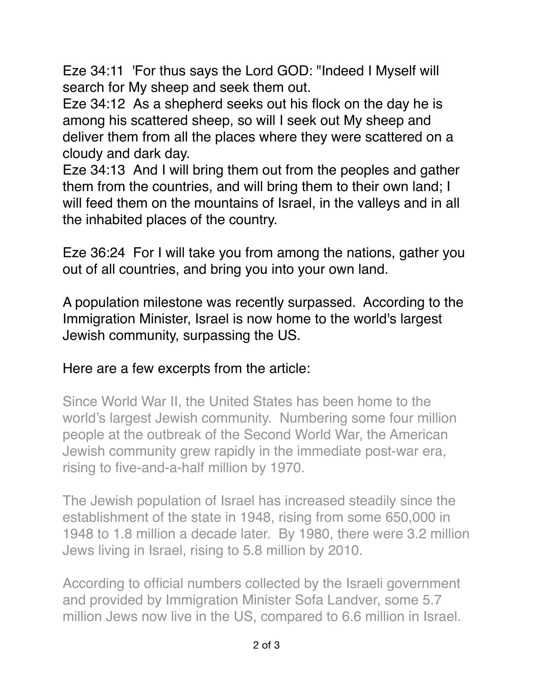[Eze 34:11](verseid:26.34.11) 'For thus says the Lord GOD: "Indeed I Myself will search for My sheep and seek them out.

[Eze 34:12](verseid:26.34.12) As a shepherd seeks out his flock on the day he is among his scattered sheep, so will I seek out My sheep and deliver them from all the places where they were scattered on a cloudy and dark day.

[Eze 34:13](verseid:26.34.13) And I will bring them out from the peoples and gather them from the countries, and will bring them to their own land; I will feed them on the mountains of Israel, in the valleys and in all the inhabited places of the country.

Eze 36:24 For I will take you from among the nations, gather you out of all countries, and bring you into your own land.

A population milestone was recently surpassed. According to the Immigration Minister, Israel is now home to the world's largest Jewish community, surpassing the US.

## Here are a few excerpts from the article:

Since World War II, the United States has been home to the world's largest Jewish community. Numbering some four million people at the outbreak of the Second World War, the American Jewish community grew rapidly in the immediate post-war era, rising to five-and-a-half million by 1970.

The Jewish population of Israel has increased steadily since the establishment of the state in 1948, rising from some 650,000 in 1948 to 1.8 million a decade later. By 1980, there were 3.2 million Jews living in Israel, rising to 5.8 million by 2010.

According to official numbers collected by the Israeli government and provided by Immigration Minister Sofa Landver, some 5.7 million Jews now live in the US, compared to [6.6 million in Israel.](http://www.israelnationalnews.com/News/News.aspx/240059)